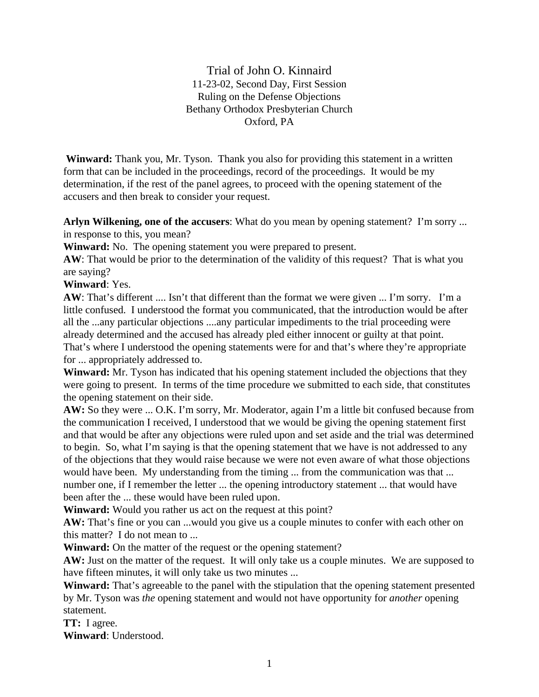Trial of John O. Kinnaird 11-23-02, Second Day, First Session Ruling on the Defense Objections Bethany Orthodox Presbyterian Church Oxford, PA

**Winward:** Thank you, Mr. Tyson. Thank you also for providing this statement in a written form that can be included in the proceedings, record of the proceedings. It would be my determination, if the rest of the panel agrees, to proceed with the opening statement of the accusers and then break to consider your request.

**Arlyn Wilkening, one of the accusers**: What do you mean by opening statement? I'm sorry ... in response to this, you mean?

**Winward:** No. The opening statement you were prepared to present.

**AW**: That would be prior to the determination of the validity of this request? That is what you are saying?

## **Winward**: Yes.

**AW**: That's different .... Isn't that different than the format we were given ... I'm sorry. I'm a little confused. I understood the format you communicated, that the introduction would be after all the ...any particular objections ....any particular impediments to the trial proceeding were already determined and the accused has already pled either innocent or guilty at that point. That's where I understood the opening statements were for and that's where they're appropriate for ... appropriately addressed to.

**Winward:** Mr. Tyson has indicated that his opening statement included the objections that they were going to present. In terms of the time procedure we submitted to each side, that constitutes the opening statement on their side.

**AW:** So they were ... O.K. I'm sorry, Mr. Moderator, again I'm a little bit confused because from the communication I received, I understood that we would be giving the opening statement first and that would be after any objections were ruled upon and set aside and the trial was determined to begin. So, what I'm saying is that the opening statement that we have is not addressed to any of the objections that they would raise because we were not even aware of what those objections would have been. My understanding from the timing ... from the communication was that ... number one, if I remember the letter ... the opening introductory statement ... that would have been after the ... these would have been ruled upon.

**Winward:** Would you rather us act on the request at this point?

**AW:** That's fine or you can ...would you give us a couple minutes to confer with each other on this matter? I do not mean to ...

**Winward:** On the matter of the request or the opening statement?

**AW:** Just on the matter of the request. It will only take us a couple minutes. We are supposed to have fifteen minutes, it will only take us two minutes ...

**Winward:** That's agreeable to the panel with the stipulation that the opening statement presented by Mr. Tyson was *the* opening statement and would not have opportunity for *another* opening statement.

**TT:** I agree.

**Winward**: Understood.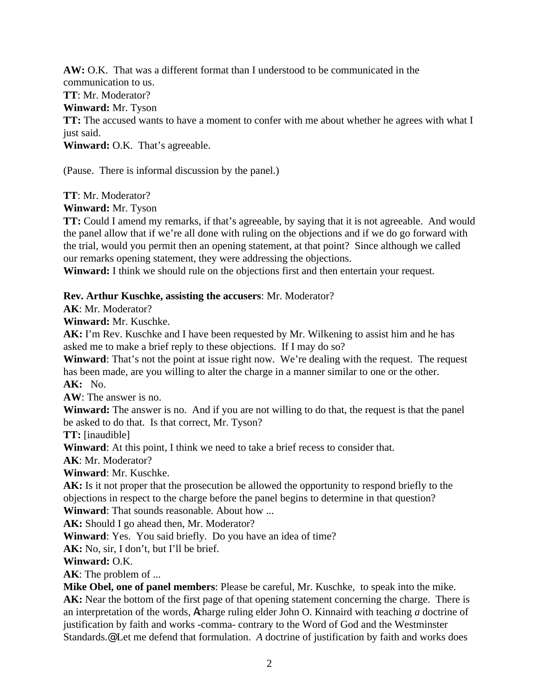**AW:** O.K. That was a different format than I understood to be communicated in the communication to us. **TT**: Mr. Moderator? **Winward:** Mr. Tyson **TT:** The accused wants to have a moment to confer with me about whether he agrees with what I just said. **Winward:** O.K. That's agreeable.

(Pause. There is informal discussion by the panel.)

**TT**: Mr. Moderator?

**Winward:** Mr. Tyson

**TT:** Could I amend my remarks, if that's agreeable, by saying that it is not agreeable. And would the panel allow that if we're all done with ruling on the objections and if we do go forward with the trial, would you permit then an opening statement, at that point? Since although we called our remarks opening statement, they were addressing the objections.

**Winward:** I think we should rule on the objections first and then entertain your request.

## **Rev. Arthur Kuschke, assisting the accusers**: Mr. Moderator?

**AK**: Mr. Moderator?

**Winward:** Mr. Kuschke.

**AK:** I'm Rev. Kuschke and I have been requested by Mr. Wilkening to assist him and he has asked me to make a brief reply to these objections. If I may do so?

**Winward:** That's not the point at issue right now. We're dealing with the request. The request has been made, are you willing to alter the charge in a manner similar to one or the other.

**AK:** No.

**AW**: The answer is no.

**Winward:** The answer is no. And if you are not willing to do that, the request is that the panel be asked to do that. Is that correct, Mr. Tyson?

**TT:** [inaudible]

**Winward**: At this point, I think we need to take a brief recess to consider that.

**AK**: Mr. Moderator?

**Winward**: Mr. Kuschke.

**AK:** Is it not proper that the prosecution be allowed the opportunity to respond briefly to the objections in respect to the charge before the panel begins to determine in that question? **Winward**: That sounds reasonable. About how ...

**AK:** Should I go ahead then, Mr. Moderator?

**Winward**: Yes. You said briefly. Do you have an idea of time?

**AK:** No, sir, I don't, but I'll be brief.

**Winward:** O.K.

**AK**: The problem of ...

**Mike Obel, one of panel members**: Please be careful, Mr. Kuschke, to speak into the mike. **AK:** Near the bottom of the first page of that opening statement concerning the charge. There is an interpretation of the words, Acharge ruling elder John O. Kinnaird with teaching *a* doctrine of justification by faith and works -comma- contrary to the Word of God and the Westminster Standards.@ Let me defend that formulation. *A* doctrine of justification by faith and works does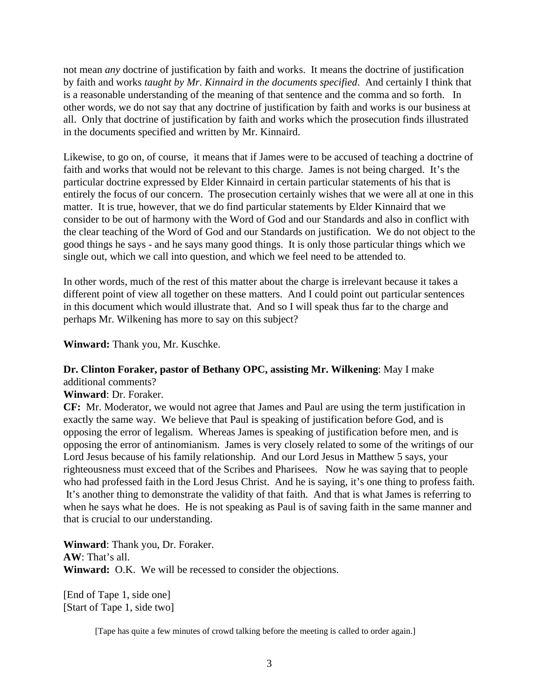not mean *any* doctrine of justification by faith and works. It means the doctrine of justification by faith and works *taught by Mr. Kinnaird in the documents specified*. And certainly I think that is a reasonable understanding of the meaning of that sentence and the comma and so forth. In other words, we do not say that any doctrine of justification by faith and works is our business at all. Only that doctrine of justification by faith and works which the prosecution finds illustrated in the documents specified and written by Mr. Kinnaird.

Likewise, to go on, of course, it means that if James were to be accused of teaching a doctrine of faith and works that would not be relevant to this charge. James is not being charged. It's the particular doctrine expressed by Elder Kinnaird in certain particular statements of his that is entirely the focus of our concern. The prosecution certainly wishes that we were all at one in this matter. It is true, however, that we do find particular statements by Elder Kinnaird that we consider to be out of harmony with the Word of God and our Standards and also in conflict with the clear teaching of the Word of God and our Standards on justification. We do not object to the good things he says - and he says many good things. It is only those particular things which we single out, which we call into question, and which we feel need to be attended to.

In other words, much of the rest of this matter about the charge is irrelevant because it takes a different point of view all together on these matters. And I could point out particular sentences in this document which would illustrate that. And so I will speak thus far to the charge and perhaps Mr. Wilkening has more to say on this subject?

**Winward:** Thank you, Mr. Kuschke.

## **Dr. Clinton Foraker, pastor of Bethany OPC, assisting Mr. Wilkening**: May I make additional comments?

**Winward**: Dr. Foraker.

**CF:** Mr. Moderator, we would not agree that James and Paul are using the term justification in exactly the same way. We believe that Paul is speaking of justification before God, and is opposing the error of legalism. Whereas James is speaking of justification before men, and is opposing the error of antinomianism. James is very closely related to some of the writings of our Lord Jesus because of his family relationship. And our Lord Jesus in Matthew 5 says, your righteousness must exceed that of the Scribes and Pharisees. Now he was saying that to people who had professed faith in the Lord Jesus Christ. And he is saying, it's one thing to profess faith. It's another thing to demonstrate the validity of that faith. And that is what James is referring to when he says what he does. He is not speaking as Paul is of saving faith in the same manner and that is crucial to our understanding.

**Winward**: Thank you, Dr. Foraker. **AW**: That's all. **Winward:** O.K. We will be recessed to consider the objections.

[End of Tape 1, side one] [Start of Tape 1, side two]

[Tape has quite a few minutes of crowd talking before the meeting is called to order again.]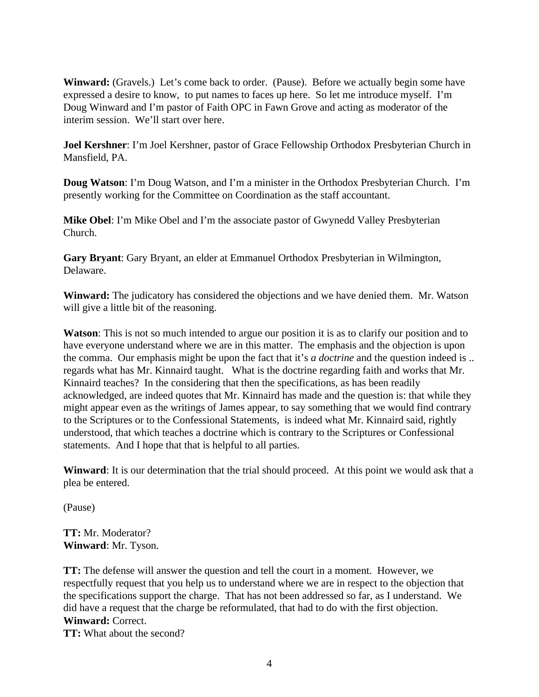**Winward:** (Gravels.) Let's come back to order. (Pause). Before we actually begin some have expressed a desire to know, to put names to faces up here. So let me introduce myself. I'm Doug Winward and I'm pastor of Faith OPC in Fawn Grove and acting as moderator of the interim session. We'll start over here.

**Joel Kershner**: I'm Joel Kershner, pastor of Grace Fellowship Orthodox Presbyterian Church in Mansfield, PA.

**Doug Watson**: I'm Doug Watson, and I'm a minister in the Orthodox Presbyterian Church. I'm presently working for the Committee on Coordination as the staff accountant.

**Mike Obel**: I'm Mike Obel and I'm the associate pastor of Gwynedd Valley Presbyterian Church.

**Gary Bryant**: Gary Bryant, an elder at Emmanuel Orthodox Presbyterian in Wilmington, Delaware.

**Winward:** The judicatory has considered the objections and we have denied them. Mr. Watson will give a little bit of the reasoning.

**Watson**: This is not so much intended to argue our position it is as to clarify our position and to have everyone understand where we are in this matter. The emphasis and the objection is upon the comma. Our emphasis might be upon the fact that it's *a doctrine* and the question indeed is .. regards what has Mr. Kinnaird taught. What is the doctrine regarding faith and works that Mr. Kinnaird teaches? In the considering that then the specifications, as has been readily acknowledged, are indeed quotes that Mr. Kinnaird has made and the question is: that while they might appear even as the writings of James appear, to say something that we would find contrary to the Scriptures or to the Confessional Statements, is indeed what Mr. Kinnaird said, rightly understood, that which teaches a doctrine which is contrary to the Scriptures or Confessional statements. And I hope that that is helpful to all parties.

**Winward**: It is our determination that the trial should proceed. At this point we would ask that a plea be entered.

(Pause)

**TT:** Mr. Moderator? **Winward**: Mr. Tyson.

**TT:** The defense will answer the question and tell the court in a moment. However, we respectfully request that you help us to understand where we are in respect to the objection that the specifications support the charge. That has not been addressed so far, as I understand. We did have a request that the charge be reformulated, that had to do with the first objection. **Winward:** Correct.

**TT:** What about the second?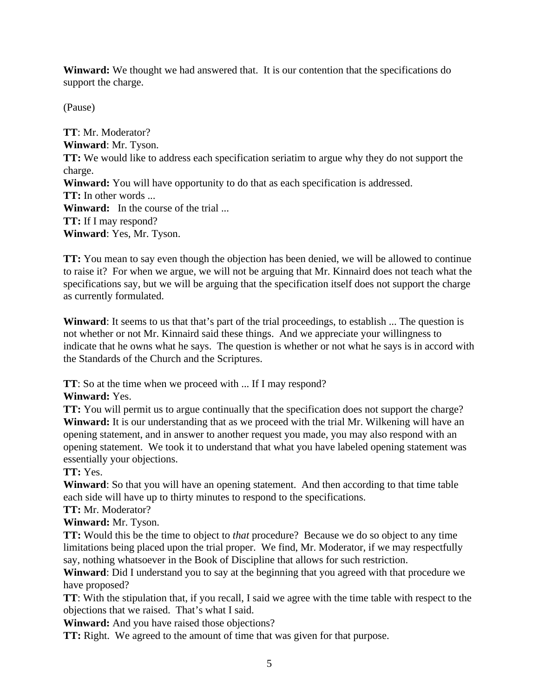**Winward:** We thought we had answered that. It is our contention that the specifications do support the charge.

(Pause)

**TT**: Mr. Moderator? **Winward**: Mr. Tyson. **TT:** We would like to address each specification seriatim to argue why they do not support the charge. **Winward:** You will have opportunity to do that as each specification is addressed. **TT:** In other words ... **Winward:** In the course of the trial ... **TT:** If I may respond? **Winward**: Yes, Mr. Tyson.

**TT:** You mean to say even though the objection has been denied, we will be allowed to continue to raise it? For when we argue, we will not be arguing that Mr. Kinnaird does not teach what the specifications say, but we will be arguing that the specification itself does not support the charge as currently formulated.

**Winward**: It seems to us that that's part of the trial proceedings, to establish ... The question is not whether or not Mr. Kinnaird said these things. And we appreciate your willingness to indicate that he owns what he says. The question is whether or not what he says is in accord with the Standards of the Church and the Scriptures.

**TT**: So at the time when we proceed with ... If I may respond?

**Winward:** Yes.

**TT:** You will permit us to argue continually that the specification does not support the charge? **Winward:** It is our understanding that as we proceed with the trial Mr. Wilkening will have an opening statement, and in answer to another request you made, you may also respond with an opening statement. We took it to understand that what you have labeled opening statement was essentially your objections.

**TT:** Yes.

**Winward**: So that you will have an opening statement. And then according to that time table each side will have up to thirty minutes to respond to the specifications.

## **TT:** Mr. Moderator?

**Winward:** Mr. Tyson.

**TT:** Would this be the time to object to *that* procedure? Because we do so object to any time limitations being placed upon the trial proper. We find, Mr. Moderator, if we may respectfully say, nothing whatsoever in the Book of Discipline that allows for such restriction.

**Winward**: Did I understand you to say at the beginning that you agreed with that procedure we have proposed?

**TT**: With the stipulation that, if you recall, I said we agree with the time table with respect to the objections that we raised. That's what I said.

**Winward:** And you have raised those objections?

**TT:** Right. We agreed to the amount of time that was given for that purpose.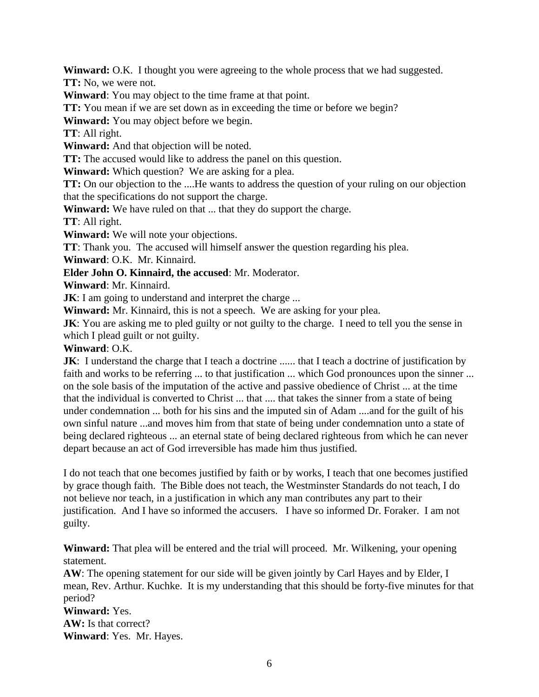**Winward:** O.K. I thought you were agreeing to the whole process that we had suggested.

**TT:** No, we were not.

**Winward**: You may object to the time frame at that point.

**TT:** You mean if we are set down as in exceeding the time or before we begin?

**Winward:** You may object before we begin.

**TT**: All right.

**Winward:** And that objection will be noted.

**TT:** The accused would like to address the panel on this question.

**Winward:** Which question? We are asking for a plea.

**TT:** On our objection to the ....He wants to address the question of your ruling on our objection that the specifications do not support the charge.

**Winward:** We have ruled on that ... that they do support the charge.

**TT**: All right.

**Winward:** We will note your objections.

**TT**: Thank you. The accused will himself answer the question regarding his plea.

**Winward**: O.K. Mr. Kinnaird.

**Elder John O. Kinnaird, the accused**: Mr. Moderator.

**Winward**: Mr. Kinnaird.

**JK**: I am going to understand and interpret the charge ...

**Winward:** Mr. Kinnaird, this is not a speech. We are asking for your plea.

**JK**: You are asking me to pled guilty or not guilty to the charge. I need to tell you the sense in which I plead guilt or not guilty.

**Winward**: O.K.

**JK**: I understand the charge that I teach a doctrine ...... that I teach a doctrine of justification by faith and works to be referring ... to that justification ... which God pronounces upon the sinner ... on the sole basis of the imputation of the active and passive obedience of Christ ... at the time that the individual is converted to Christ ... that .... that takes the sinner from a state of being under condemnation ... both for his sins and the imputed sin of Adam ....and for the guilt of his own sinful nature ...and moves him from that state of being under condemnation unto a state of being declared righteous ... an eternal state of being declared righteous from which he can never depart because an act of God irreversible has made him thus justified.

I do not teach that one becomes justified by faith or by works, I teach that one becomes justified by grace though faith. The Bible does not teach, the Westminster Standards do not teach, I do not believe nor teach, in a justification in which any man contributes any part to their justification. And I have so informed the accusers. I have so informed Dr. Foraker. I am not guilty.

**Winward:** That plea will be entered and the trial will proceed. Mr. Wilkening, your opening statement.

**AW**: The opening statement for our side will be given jointly by Carl Hayes and by Elder, I mean, Rev. Arthur. Kuchke. It is my understanding that this should be forty-five minutes for that period?

**Winward:** Yes.

**AW:** Is that correct? **Winward**: Yes. Mr. Hayes.